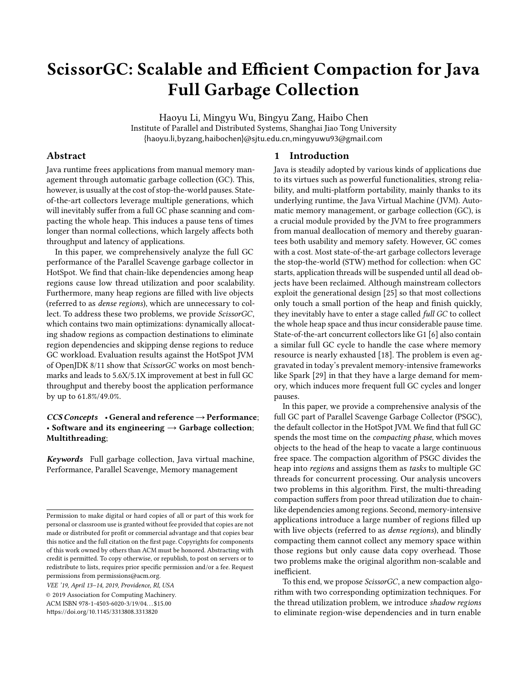# ScissorGC: Scalable and Efficient Compaction for Java Full Garbage Collection

Haoyu Li, Mingyu Wu, Bingyu Zang, Haibo Chen Institute of Parallel and Distributed Systems, Shanghai Jiao Tong University {haoyu.li,byzang,haibochen}@sjtu.edu.cn,mingyuwu93@gmail.com

# Abstract

Java runtime frees applications from manual memory management through automatic garbage collection (GC). This, however, is usually at the cost of stop-the-world pauses. Stateof-the-art collectors leverage multiple generations, which will inevitably suffer from a full GC phase scanning and compacting the whole heap. This induces a pause tens of times longer than normal collections, which largely affects both throughput and latency of applications.

In this paper, we comprehensively analyze the full GC performance of the Parallel Scavenge garbage collector in HotSpot. We find that chain-like dependencies among heap regions cause low thread utilization and poor scalability. Furthermore, many heap regions are filled with live objects (referred to as dense regions), which are unnecessary to collect. To address these two problems, we provide ScissorGC, which contains two main optimizations: dynamically allocating shadow regions as compaction destinations to eliminate region dependencies and skipping dense regions to reduce GC workload. Evaluation results against the HotSpot JVM of OpenJDK 8/11 show that ScissorGC works on most benchmarks and leads to 5.6X/5.1X improvement at best in full GC throughput and thereby boost the application performance by up to 61.8%/49.0%.

# $CCS$  Concepts • General and reference  $\rightarrow$  Performance; • Software and its engineering  $\rightarrow$  Garbage collection; Multithreading;

Keywords Full garbage collection, Java virtual machine, Performance, Parallel Scavenge, Memory management

VEE '19, April 13–14, 2019, Providence, RI, USA © 2019 Association for Computing Machinery.

ACM ISBN 978-1-4503-6020-3/19/04. . . \$15.00

<https://doi.org/10.1145/3313808.3313820>

## 1 Introduction

Java is steadily adopted by various kinds of applications due to its virtues such as powerful functionalities, strong reliability, and multi-platform portability, mainly thanks to its underlying runtime, the Java Virtual Machine (JVM). Automatic memory management, or garbage collection (GC), is a crucial module provided by the JVM to free programmers from manual deallocation of memory and thereby guarantees both usability and memory safety. However, GC comes with a cost. Most state-of-the-art garbage collectors leverage the stop-the-world (STW) method for collection: when GC starts, application threads will be suspended until all dead objects have been reclaimed. Although mainstream collectors exploit the generational design [\[25\]](#page-13-0) so that most collections only touch a small portion of the heap and finish quickly, they inevitably have to enter a stage called *full GC* to collect the whole heap space and thus incur considerable pause time. State-of-the-art concurrent collectors like G1 [\[6\]](#page-12-0) also contain a similar full GC cycle to handle the case where memory resource is nearly exhausted [\[18\]](#page-13-1). The problem is even aggravated in today's prevalent memory-intensive frameworks like Spark [\[29\]](#page-13-2) in that they have a large demand for memory, which induces more frequent full GC cycles and longer pauses.

In this paper, we provide a comprehensive analysis of the full GC part of Parallel Scavenge Garbage Collector (PSGC), the default collector in the HotSpot JVM. We find that full GC spends the most time on the *compacting phase*, which moves objects to the head of the heap to vacate a large continuous free space. The compaction algorithm of PSGC divides the heap into regions and assigns them as tasks to multiple GC threads for concurrent processing. Our analysis uncovers two problems in this algorithm. First, the multi-threading compaction suffers from poor thread utilization due to chainlike dependencies among regions. Second, memory-intensive applications introduce a large number of regions filled up with live objects (referred to as dense regions), and blindly compacting them cannot collect any memory space within those regions but only cause data copy overhead. Those two problems make the original algorithm non-scalable and inefficient.

To this end, we propose ScissorGC, a new compaction algorithm with two corresponding optimization techniques. For the thread utilization problem, we introduce shadow regions to eliminate region-wise dependencies and in turn enable

Permission to make digital or hard copies of all or part of this work for personal or classroom use is granted without fee provided that copies are not made or distributed for profit or commercial advantage and that copies bear this notice and the full citation on the first page. Copyrights for components of this work owned by others than ACM must be honored. Abstracting with credit is permitted. To copy otherwise, or republish, to post on servers or to redistribute to lists, requires prior specific permission and/or a fee. Request permissions from permissions@acm.org.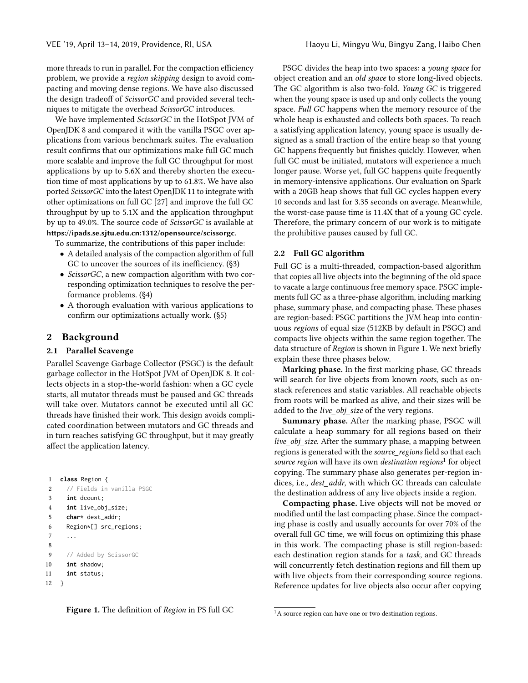more threads to run in parallel. For the compaction efficiency problem, we provide a region skipping design to avoid compacting and moving dense regions. We have also discussed the design tradeoff of ScissorGC and provided several techniques to mitigate the overhead ScissorGC introduces.

We have implemented ScissorGC in the HotSpot JVM of OpenJDK 8 and compared it with the vanilla PSGC over applications from various benchmark suites. The evaluation result confirms that our optimizations make full GC much more scalable and improve the full GC throughput for most applications by up to 5.6X and thereby shorten the execution time of most applications by up to 61.8%. We have also ported ScissorGC into the latest OpenJDK 11 to integrate with other optimizations on full GC [\[27\]](#page-13-3) and improve the full GC throughput by up to 5.1X and the application throughput by up to 49.0%. The source code of ScissorGC is available at <https://ipads.se.sjtu.edu.cn:1312/opensource/scissorgc>.

To summarize, the contributions of this paper include:

- A detailed analysis of the compaction algorithm of full GC to uncover the sources of its inefficiency. ([§3\)](#page-3-0)
- ScissorGC, a new compaction algorithm with two corresponding optimization techniques to resolve the performance problems. ([§4\)](#page-4-0)
- A thorough evaluation with various applications to confirm our optimizations actually work. ([§5\)](#page-7-0)

# <span id="page-1-3"></span>2 Background

## 2.1 Parallel Scavenge

Parallel Scavenge Garbage Collector (PSGC) is the default garbage collector in the HotSpot JVM of OpenJDK 8. It collects objects in a stop-the-world fashion: when a GC cycle starts, all mutator threads must be paused and GC threads will take over. Mutators cannot be executed until all GC threads have finished their work. This design avoids complicated coordination between mutators and GC threads and in turn reaches satisfying GC throughput, but it may greatly affect the application latency.

```
1 class Region {
2 // Fields in vanilla PSGC
3 int dcount;
4 int live_obj_size;
5 char* dest_addr;
6 Region*[] src_regions;
7 ...
8
9 // Added by ScissorGC
10 int shadow;
11 int status;
```

```
12 }
```
Figure 1. The definition of Region in PS full GC

PSGC divides the heap into two spaces: a young space for object creation and an old space to store long-lived objects. The GC algorithm is also two-fold. Young GC is triggered when the young space is used up and only collects the young space. Full GC happens when the memory resource of the whole heap is exhausted and collects both spaces. To reach a satisfying application latency, young space is usually designed as a small fraction of the entire heap so that young GC happens frequently but finishes quickly. However, when full GC must be initiated, mutators will experience a much longer pause. Worse yet, full GC happens quite frequently in memory-intensive applications. Our evaluation on Spark with a 20GB heap shows that full GC cycles happen every 10 seconds and last for 3.35 seconds on average. Meanwhile, the worst-case pause time is 11.4X that of a young GC cycle. Therefore, the primary concern of our work is to mitigate the prohibitive pauses caused by full GC.

# <span id="page-1-2"></span>2.2 Full GC algorithm

Full GC is a multi-threaded, compaction-based algorithm that copies all live objects into the beginning of the old space to vacate a large continuous free memory space. PSGC implements full GC as a three-phase algorithm, including marking phase, summary phase, and compacting phase. These phases are region-based: PSGC partitions the JVM heap into continuous regions of equal size (512KB by default in PSGC) and compacts live objects within the same region together. The data structure of Region is shown in Figure [1.](#page-1-0) We next briefly explain these three phases below.

Marking phase. In the first marking phase, GC threads will search for live objects from known roots, such as onstack references and static variables. All reachable objects from roots will be marked as alive, and their sizes will be added to the live\_obj\_size of the very regions.

Summary phase. After the marking phase, PSGC will calculate a heap summary for all regions based on their live\_obj\_size. After the summary phase, a mapping between regions is generated with the *source* regions field so that each source region will have its own destination regions<sup>[1](#page-1-1)</sup> for object copying. The summary phase also generates per-region indices, i.e., *dest\_addr*, with which GC threads can calculate the destination address of any live objects inside a region.

Compacting phase. Live objects will not be moved or modified until the last compacting phase. Since the compacting phase is costly and usually accounts for over 70% of the overall full GC time, we will focus on optimizing this phase in this work. The compacting phase is still region-based: each destination region stands for a task, and GC threads will concurrently fetch destination regions and fill them up with live objects from their corresponding source regions. Reference updates for live objects also occur after copying

<span id="page-1-1"></span> ${}^{1}$ A source region can have one or two destination regions.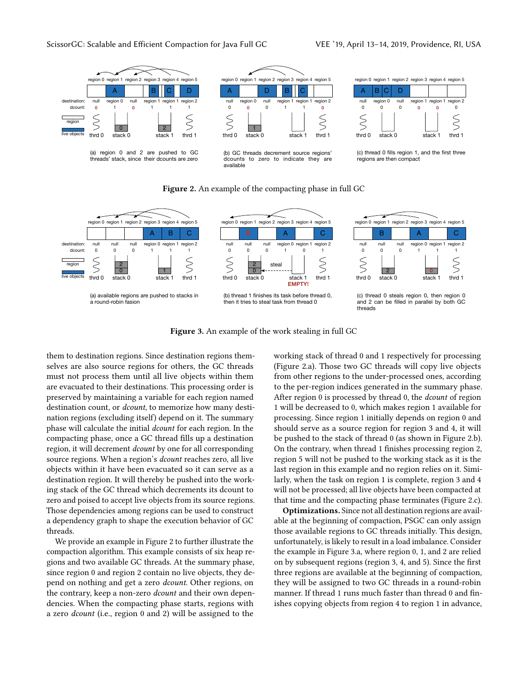<span id="page-2-0"></span>



(c) thread 0 fills region 1, and the first three regions are then compact



<span id="page-2-1"></span>

Figure 3. An example of the work stealing in full GC

them to destination regions. Since destination regions themselves are also source regions for others, the GC threads must not process them until all live objects within them are evacuated to their destinations. This processing order is preserved by maintaining a variable for each region named destination count, or *dcount*, to memorize how many destination regions (excluding itself) depend on it. The summary phase will calculate the initial dcount for each region. In the compacting phase, once a GC thread fills up a destination region, it will decrement dcount by one for all corresponding source regions. When a region's dcount reaches zero, all live objects within it have been evacuated so it can serve as a destination region. It will thereby be pushed into the working stack of the GC thread which decrements its dcount to zero and poised to accept live objects from its source regions. Those dependencies among regions can be used to construct a dependency graph to shape the execution behavior of GC threads.

We provide an example in Figure [2](#page-2-0) to further illustrate the compaction algorithm. This example consists of six heap regions and two available GC threads. At the summary phase, since region 0 and region 2 contain no live objects, they depend on nothing and get a zero dcount. Other regions, on the contrary, keep a non-zero *dcount* and their own dependencies. When the compacting phase starts, regions with a zero dcount (i.e., region 0 and 2) will be assigned to the

working stack of thread 0 and 1 respectively for processing (Figure [2.](#page-2-0)a). Those two GC threads will copy live objects from other regions to the under-processed ones, according to the per-region indices generated in the summary phase. After region 0 is processed by thread 0, the *dcount* of region 1 will be decreased to 0, which makes region 1 available for processing. Since region 1 initially depends on region 0 and should serve as a source region for region 3 and 4, it will be pushed to the stack of thread 0 (as shown in Figure [2.](#page-2-0)b). On the contrary, when thread 1 finishes processing region 2, region 5 will not be pushed to the working stack as it is the last region in this example and no region relies on it. Similarly, when the task on region 1 is complete, region 3 and 4 will not be processed; all live objects have been compacted at that time and the compacting phase terminates (Figure [2.](#page-2-0)c).

Optimizations. Since not all destination regions are available at the beginning of compaction, PSGC can only assign those available regions to GC threads initially. This design, unfortunately, is likely to result in a load imbalance. Consider the example in Figure [3.](#page-2-1)a, where region 0, 1, and 2 are relied on by subsequent regions (region 3, 4, and 5). Since the first three regions are available at the beginning of compaction, they will be assigned to two GC threads in a round-robin manner. If thread 1 runs much faster than thread 0 and finishes copying objects from region 4 to region 1 in advance,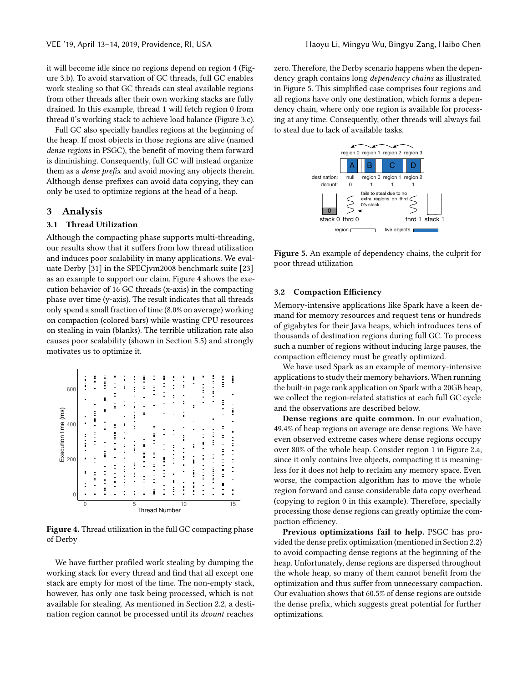it will become idle since no regions depend on region 4 (Figure [3.](#page-2-1)b). To avoid starvation of GC threads, full GC enables work stealing so that GC threads can steal available regions from other threads after their own working stacks are fully drained. In this example, thread 1 will fetch region 0 from thread 0's working stack to achieve load balance (Figure [3.](#page-2-1)c).

Full GC also specially handles regions at the beginning of the heap. If most objects in those regions are alive (named dense regions in PSGC), the benefit of moving them forward is diminishing. Consequently, full GC will instead organize them as a dense prefix and avoid moving any objects therein. Although dense prefixes can avoid data copying, they can only be used to optimize regions at the head of a heap.

## <span id="page-3-0"></span>3 Analysis

#### 3.1 Thread Utilization

Although the compacting phase supports multi-threading, our results show that it suffers from low thread utilization and induces poor scalability in many applications. We evaluate Derby [\[31\]](#page-13-4) in the SPECjvm2008 benchmark suite [\[23\]](#page-13-5) as an example to support our claim. Figure [4](#page-3-1) shows the execution behavior of 16 GC threads (x-axis) in the compacting phase over time (y-axis). The result indicates that all threads only spend a small fraction of time (8.0% on average) working on compaction (colored bars) while wasting CPU resources on stealing in vain (blanks). The terrible utilization rate also causes poor scalability (shown in Section [5.5\)](#page-9-0) and strongly motivates us to optimize it.

<span id="page-3-1"></span>

Figure 4. Thread utilization in the full GC compacting phase of Derby

We have further profiled work stealing by dumping the working stack for every thread and find that all except one stack are empty for most of the time. The non-empty stack, however, has only one task being processed, which is not available for stealing. As mentioned in Section [2.2,](#page-1-2) a destination region cannot be processed until its dcount reaches

zero. Therefore, the Derby scenario happens when the dependency graph contains long dependency chains as illustrated in Figure [5.](#page-3-2) This simplified case comprises four regions and all regions have only one destination, which forms a dependency chain, where only one region is available for processing at any time. Consequently, other threads will always fail to steal due to lack of available tasks.

<span id="page-3-2"></span>

Figure 5. An example of dependency chains, the culprit for poor thread utilization

#### 3.2 Compaction Efficiency

Memory-intensive applications like Spark have a keen demand for memory resources and request tens or hundreds of gigabytes for their Java heaps, which introduces tens of thousands of destination regions during full GC. To process such a number of regions without inducing large pauses, the compaction efficiency must be greatly optimized.

We have used Spark as an example of memory-intensive applications to study their memory behaviors. When running the built-in page rank application on Spark with a 20GB heap, we collect the region-related statistics at each full GC cycle and the observations are described below.

Dense regions are quite common. In our evaluation, 49.4% of heap regions on average are dense regions. We have even observed extreme cases where dense regions occupy over 80% of the whole heap. Consider region 1 in Figure [2.](#page-2-0)a, since it only contains live objects, compacting it is meaningless for it does not help to reclaim any memory space. Even worse, the compaction algorithm has to move the whole region forward and cause considerable data copy overhead (copying to region 0 in this example). Therefore, specially processing those dense regions can greatly optimize the compaction efficiency.

Previous optimizations fail to help. PSGC has provided the dense prefix optimization (mentioned in Section [2.2\)](#page-1-2) to avoid compacting dense regions at the beginning of the heap. Unfortunately, dense regions are dispersed throughout the whole heap, so many of them cannot benefit from the optimization and thus suffer from unnecessary compaction. Our evaluation shows that 60.5% of dense regions are outside the dense prefix, which suggests great potential for further optimizations.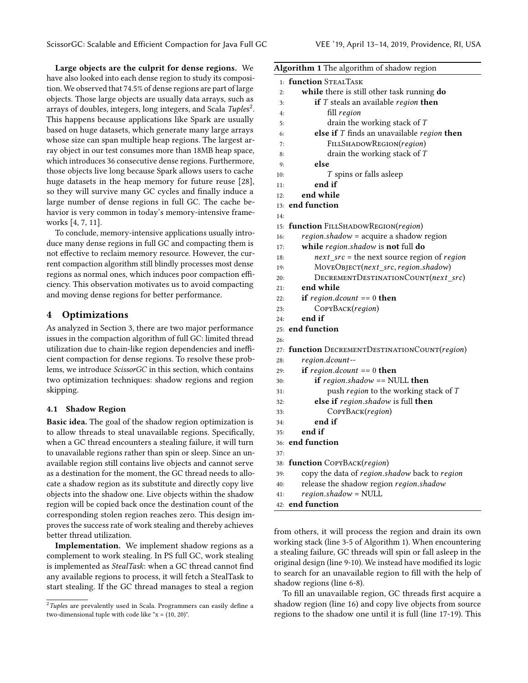Large objects are the culprit for dense regions. We have also looked into each dense region to study its composition. We observed that 74.5% of dense regions are part of large objects. Those large objects are usually data arrays, such as arrays of doubles, integers, long integers, and Scala Tuples<sup>[2](#page-4-1)</sup>. This happens because applications like Spark are usually based on huge datasets, which generate many large arrays whose size can span multiple heap regions. The largest array object in our test consumes more than 18MB heap space, which introduces 36 consecutive dense regions. Furthermore, those objects live long because Spark allows users to cache huge datasets in the heap memory for future reuse [\[28\]](#page-13-6), so they will survive many GC cycles and finally induce a large number of dense regions in full GC. The cache behavior is very common in today's memory-intensive frameworks [\[4,](#page-12-1) [7,](#page-12-2) [11\]](#page-12-3).

To conclude, memory-intensive applications usually introduce many dense regions in full GC and compacting them is not effective to reclaim memory resource. However, the current compaction algorithm still blindly processes most dense regions as normal ones, which induces poor compaction efficiency. This observation motivates us to avoid compacting and moving dense regions for better performance.

# <span id="page-4-0"></span>4 Optimizations

As analyzed in Section 3, there are two major performance issues in the compaction algorithm of full GC: limited thread utilization due to chain-like region dependencies and inefficient compaction for dense regions. To resolve these problems, we introduce ScissorGC in this section, which contains two optimization techniques: shadow regions and region skipping.

## <span id="page-4-3"></span>4.1 Shadow Region

Basic idea. The goal of the shadow region optimization is to allow threads to steal unavailable regions. Specifically, when a GC thread encounters a stealing failure, it will turn to unavailable regions rather than spin or sleep. Since an unavailable region still contains live objects and cannot serve as a destination for the moment, the GC thread needs to allocate a shadow region as its substitute and directly copy live objects into the shadow one. Live objects within the shadow region will be copied back once the destination count of the corresponding stolen region reaches zero. This design improves the success rate of work stealing and thereby achieves better thread utilization.

Implementation. We implement shadow regions as a complement to work stealing. In PS full GC, work stealing is implemented as StealTask: when a GC thread cannot find any available regions to process, it will fetch a StealTask to start stealing. If the GC thread manages to steal a region <span id="page-4-2"></span>Algorithm 1 The algorithm of shadow region

|            | <b>Algorithm 1</b> The algorithm of shadow region                              |  |  |  |
|------------|--------------------------------------------------------------------------------|--|--|--|
| 1:         | <b>function</b> STEALTASK                                                      |  |  |  |
| 2:         | while there is still other task running do                                     |  |  |  |
| 3:         | if $T$ steals an available region then                                         |  |  |  |
| 4:         | fill region                                                                    |  |  |  |
| 5:         | drain the working stack of $T$                                                 |  |  |  |
| 6:         | else if $T$ finds an unavailable region then                                   |  |  |  |
| 7:         | FILLSHADOWREGION(region)                                                       |  |  |  |
| 8:         | drain the working stack of $T$                                                 |  |  |  |
| 9:         | else                                                                           |  |  |  |
| 10:        | T spins or falls asleep                                                        |  |  |  |
| 11:        | end if                                                                         |  |  |  |
| 12:        | end while                                                                      |  |  |  |
| 13:        | end function                                                                   |  |  |  |
| 14:        |                                                                                |  |  |  |
| 15:        | function FILLSHADOWREGION(region)                                              |  |  |  |
| 16:        | region.shadow = acquire a shadow region                                        |  |  |  |
| 17:        | while region.shadow is not full do                                             |  |  |  |
| 18:        | $next\_src$ = the next source region of region                                 |  |  |  |
| 19:        | MOVEOBJECT(next_src, region.shadow)                                            |  |  |  |
| 20:        | DECREMENTDESTINATIONCOUNT(next_src)                                            |  |  |  |
| 21:        | end while                                                                      |  |  |  |
| 22:        | <b>if</b> region.dcount == 0 <b>then</b>                                       |  |  |  |
| 23:        | COPYBACK(region)                                                               |  |  |  |
| 24:        | end if                                                                         |  |  |  |
|            | 25: end function                                                               |  |  |  |
| 26:        |                                                                                |  |  |  |
|            | 27: function DECREMENTDESTINATIONCOUNT(region)                                 |  |  |  |
| 28:        | region.dcount--                                                                |  |  |  |
| 29:        | if $region.dcount == 0$ then                                                   |  |  |  |
| 30:        | if region.shadow == NULL then                                                  |  |  |  |
| 31:        | push region to the working stack of T                                          |  |  |  |
| 32:        | else if region.shadow is full then                                             |  |  |  |
| 33:        | COPYBACK(region)                                                               |  |  |  |
| 34:        | end if                                                                         |  |  |  |
| 35:        | end if<br>36: end function                                                     |  |  |  |
|            |                                                                                |  |  |  |
| 37:        |                                                                                |  |  |  |
|            | 38: function COPYBACK(region)<br>copy the data of region.shadow back to region |  |  |  |
| 39:<br>40: | release the shadow region region.shadow                                        |  |  |  |
| 41:        | $region. shadow = NULL$                                                        |  |  |  |
|            | 42: end function                                                               |  |  |  |
|            |                                                                                |  |  |  |

from others, it will process the region and drain its own working stack (line 3-5 of Algorithm [1\)](#page-4-2). When encountering a stealing failure, GC threads will spin or fall asleep in the original design (line 9-10). We instead have modified its logic to search for an unavailable region to fill with the help of shadow regions (line 6-8).

To fill an unavailable region, GC threads first acquire a shadow region (line 16) and copy live objects from source regions to the shadow one until it is full (line 17-19). This

<span id="page-4-1"></span> $2$ Tuples are prevalently used in Scala. Programmers can easily define a two-dimensional tuple with code like "x = (10, 20)".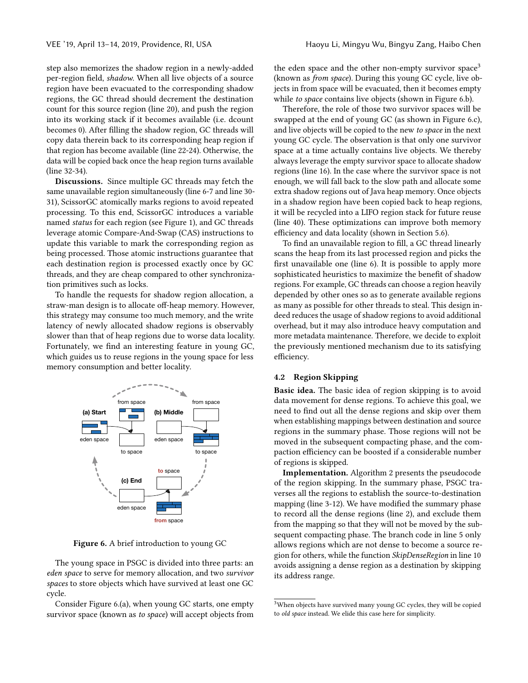step also memorizes the shadow region in a newly-added per-region field, shadow. When all live objects of a source region have been evacuated to the corresponding shadow regions, the GC thread should decrement the destination count for this source region (line 20), and push the region into its working stack if it becomes available (i.e. dcount becomes 0). After filling the shadow region, GC threads will copy data therein back to its corresponding heap region if that region has become available (line 22-24). Otherwise, the data will be copied back once the heap region turns available (line 32-34).

Discussions. Since multiple GC threads may fetch the same unavailable region simultaneously (line 6-7 and line 30- 31), ScissorGC atomically marks regions to avoid repeated processing. To this end, ScissorGC introduces a variable named status for each region (see Figure [1\)](#page-1-0), and GC threads leverage atomic Compare-And-Swap (CAS) instructions to update this variable to mark the corresponding region as being processed. Those atomic instructions guarantee that each destination region is processed exactly once by GC threads, and they are cheap compared to other synchronization primitives such as locks.

To handle the requests for shadow region allocation, a straw-man design is to allocate off-heap memory. However, this strategy may consume too much memory, and the write latency of newly allocated shadow regions is observably slower than that of heap regions due to worse data locality. Fortunately, we find an interesting feature in young GC, which guides us to reuse regions in the young space for less memory consumption and better locality.

<span id="page-5-0"></span>

Figure 6. A brief introduction to young GC

The young space in PSGC is divided into three parts: an eden space to serve for memory allocation, and two survivor spaces to store objects which have survived at least one GC cycle.

Consider Figure [6.](#page-5-0)(a), when young GC starts, one empty survivor space (known as to space) will accept objects from

the eden space and the other non-empty survivor space<sup>[3](#page-5-1)</sup> (known as from space). During this young GC cycle, live objects in from space will be evacuated, then it becomes empty while to space contains live objects (shown in Figure [6.](#page-5-0)b).

Therefore, the role of those two survivor spaces will be swapped at the end of young GC (as shown in Figure [6.](#page-5-0)c), and live objects will be copied to the new to space in the next young GC cycle. The observation is that only one survivor space at a time actually contains live objects. We thereby always leverage the empty survivor space to allocate shadow regions (line 16). In the case where the survivor space is not enough, we will fall back to the slow path and allocate some extra shadow regions out of Java heap memory. Once objects in a shadow region have been copied back to heap regions, it will be recycled into a LIFO region stack for future reuse (line 40). These optimizations can improve both memory efficiency and data locality (shown in Section [5.6\)](#page-10-0).

To find an unavailable region to fill, a GC thread linearly scans the heap from its last processed region and picks the first unavailable one (line 6). It is possible to apply more sophisticated heuristics to maximize the benefit of shadow regions. For example, GC threads can choose a region heavily depended by other ones so as to generate available regions as many as possible for other threads to steal. This design indeed reduces the usage of shadow regions to avoid additional overhead, but it may also introduce heavy computation and more metadata maintenance. Therefore, we decide to exploit the previously mentioned mechanism due to its satisfying efficiency.

#### 4.2 Region Skipping

Basic idea. The basic idea of region skipping is to avoid data movement for dense regions. To achieve this goal, we need to find out all the dense regions and skip over them when establishing mappings between destination and source regions in the summary phase. Those regions will not be moved in the subsequent compacting phase, and the compaction efficiency can be boosted if a considerable number of regions is skipped.

Implementation. Algorithm [2](#page-6-0) presents the pseudocode of the region skipping. In the summary phase, PSGC traverses all the regions to establish the source-to-destination mapping (line 3-12). We have modified the summary phase to record all the dense regions (line 2), and exclude them from the mapping so that they will not be moved by the subsequent compacting phase. The branch code in line 5 only allows regions which are not dense to become a source region for others, while the function SkipDenseRegion in line 10 avoids assigning a dense region as a destination by skipping its address range.

<span id="page-5-1"></span> $3$ When objects have survived many young GC cycles, they will be copied to old space instead. We elide this case here for simplicity.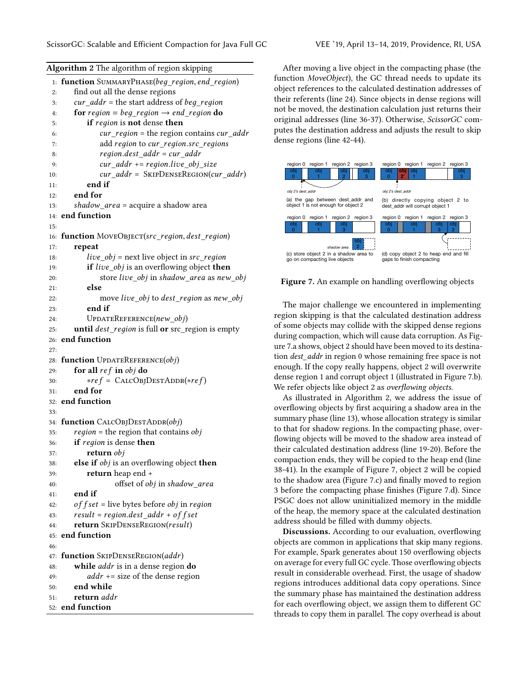<span id="page-6-0"></span>Algorithm 2 The algorithm of region skipping

| function SUMMARYPHASE(beg_region, end_region)<br>1:<br>find out all the dense regions<br>2:<br>$cur\_addr =$ the start address of <i>beg_region</i><br>3:<br>for region = beg_region $\rightarrow$ end_region do<br>4:<br>if region is not dense then<br>5:<br><i>cur_region</i> = the region contains <i>cur_addr</i><br>6:<br>add region to cur_region.src_regions<br>7:<br>region.dest_addr = cur_addr<br>8:<br>$cur\_addr += region.live\_obj\_size$<br>9:<br>$cur\_addr =$ SKIPDENSEREGION( $cur\_addr$ )<br>10:<br>end if<br>11:<br>end for<br>12:<br>shadow_area = acquire a shadow area<br>13:<br>end function<br>14:<br>15:<br>function MOVEOBJECT(src_region, dest_region)<br>16:<br>repeat<br>17:<br>$live\_obj = next$ live object in $src\_region$<br>18:<br>if live_obj is an overflowing object then<br>19:<br>store live_obj in shadow_area as new_obj<br>20:<br>else<br>21:<br>move live_obj to dest_region as new_obj<br>22:<br>end if<br>23:<br>$UPDATEREFERENCES(new_obj)$<br>24:<br>until dest_region is full or src_region is empty<br>25:<br>end function<br>26:<br>27:<br>function UPDATEREFERENCE(obj)<br>28:<br>for all $ref$ in $obj$ do<br>29:<br>$*ref = CALCOBJDESTADDR(*ref)$<br>30:<br>end for<br>31:<br>end function<br>32:<br>33:<br>34: function CALCOBJDESTADDR(obj)<br>$region =$ the region that contains $obj$<br>35:<br>if region is dense then<br>36:<br><b>return</b> obj<br>37:<br><b>else if</b> <i>obj</i> is an overflowing object <b>then</b><br>38:<br>return heap end +<br>39:<br>offset of obj in shadow_area<br>40:<br>end if<br>41:<br>$offset = live bytes before obj in region$<br>42:<br>$result = region.dest\_addr + offset$<br>43:<br>return SKIPDENSEREGION(result)<br>44:<br>end function<br>45:<br>46:<br>function SKIPDENSEREGION(addr)<br>47:<br>while <i>addr</i> is in a dense region do<br>48:<br>$addr \leftarrow$ size of the dense region<br>49:<br>end while<br>50:<br>return addr<br>51:<br>end function<br>52: | -----rr---o |
|----------------------------------------------------------------------------------------------------------------------------------------------------------------------------------------------------------------------------------------------------------------------------------------------------------------------------------------------------------------------------------------------------------------------------------------------------------------------------------------------------------------------------------------------------------------------------------------------------------------------------------------------------------------------------------------------------------------------------------------------------------------------------------------------------------------------------------------------------------------------------------------------------------------------------------------------------------------------------------------------------------------------------------------------------------------------------------------------------------------------------------------------------------------------------------------------------------------------------------------------------------------------------------------------------------------------------------------------------------------------------------------------------------------------------------------------------------------------------------------------------------------------------------------------------------------------------------------------------------------------------------------------------------------------------------------------------------------------------------------------------------------------------------------------------------------------------------------------------------------------------------------------------------------------------------------------------------------------------------------|-------------|
|                                                                                                                                                                                                                                                                                                                                                                                                                                                                                                                                                                                                                                                                                                                                                                                                                                                                                                                                                                                                                                                                                                                                                                                                                                                                                                                                                                                                                                                                                                                                                                                                                                                                                                                                                                                                                                                                                                                                                                                        |             |
|                                                                                                                                                                                                                                                                                                                                                                                                                                                                                                                                                                                                                                                                                                                                                                                                                                                                                                                                                                                                                                                                                                                                                                                                                                                                                                                                                                                                                                                                                                                                                                                                                                                                                                                                                                                                                                                                                                                                                                                        |             |
|                                                                                                                                                                                                                                                                                                                                                                                                                                                                                                                                                                                                                                                                                                                                                                                                                                                                                                                                                                                                                                                                                                                                                                                                                                                                                                                                                                                                                                                                                                                                                                                                                                                                                                                                                                                                                                                                                                                                                                                        |             |
|                                                                                                                                                                                                                                                                                                                                                                                                                                                                                                                                                                                                                                                                                                                                                                                                                                                                                                                                                                                                                                                                                                                                                                                                                                                                                                                                                                                                                                                                                                                                                                                                                                                                                                                                                                                                                                                                                                                                                                                        |             |
|                                                                                                                                                                                                                                                                                                                                                                                                                                                                                                                                                                                                                                                                                                                                                                                                                                                                                                                                                                                                                                                                                                                                                                                                                                                                                                                                                                                                                                                                                                                                                                                                                                                                                                                                                                                                                                                                                                                                                                                        |             |
|                                                                                                                                                                                                                                                                                                                                                                                                                                                                                                                                                                                                                                                                                                                                                                                                                                                                                                                                                                                                                                                                                                                                                                                                                                                                                                                                                                                                                                                                                                                                                                                                                                                                                                                                                                                                                                                                                                                                                                                        |             |
|                                                                                                                                                                                                                                                                                                                                                                                                                                                                                                                                                                                                                                                                                                                                                                                                                                                                                                                                                                                                                                                                                                                                                                                                                                                                                                                                                                                                                                                                                                                                                                                                                                                                                                                                                                                                                                                                                                                                                                                        |             |
|                                                                                                                                                                                                                                                                                                                                                                                                                                                                                                                                                                                                                                                                                                                                                                                                                                                                                                                                                                                                                                                                                                                                                                                                                                                                                                                                                                                                                                                                                                                                                                                                                                                                                                                                                                                                                                                                                                                                                                                        |             |
|                                                                                                                                                                                                                                                                                                                                                                                                                                                                                                                                                                                                                                                                                                                                                                                                                                                                                                                                                                                                                                                                                                                                                                                                                                                                                                                                                                                                                                                                                                                                                                                                                                                                                                                                                                                                                                                                                                                                                                                        |             |
|                                                                                                                                                                                                                                                                                                                                                                                                                                                                                                                                                                                                                                                                                                                                                                                                                                                                                                                                                                                                                                                                                                                                                                                                                                                                                                                                                                                                                                                                                                                                                                                                                                                                                                                                                                                                                                                                                                                                                                                        |             |
|                                                                                                                                                                                                                                                                                                                                                                                                                                                                                                                                                                                                                                                                                                                                                                                                                                                                                                                                                                                                                                                                                                                                                                                                                                                                                                                                                                                                                                                                                                                                                                                                                                                                                                                                                                                                                                                                                                                                                                                        |             |
|                                                                                                                                                                                                                                                                                                                                                                                                                                                                                                                                                                                                                                                                                                                                                                                                                                                                                                                                                                                                                                                                                                                                                                                                                                                                                                                                                                                                                                                                                                                                                                                                                                                                                                                                                                                                                                                                                                                                                                                        |             |
|                                                                                                                                                                                                                                                                                                                                                                                                                                                                                                                                                                                                                                                                                                                                                                                                                                                                                                                                                                                                                                                                                                                                                                                                                                                                                                                                                                                                                                                                                                                                                                                                                                                                                                                                                                                                                                                                                                                                                                                        |             |
|                                                                                                                                                                                                                                                                                                                                                                                                                                                                                                                                                                                                                                                                                                                                                                                                                                                                                                                                                                                                                                                                                                                                                                                                                                                                                                                                                                                                                                                                                                                                                                                                                                                                                                                                                                                                                                                                                                                                                                                        |             |
|                                                                                                                                                                                                                                                                                                                                                                                                                                                                                                                                                                                                                                                                                                                                                                                                                                                                                                                                                                                                                                                                                                                                                                                                                                                                                                                                                                                                                                                                                                                                                                                                                                                                                                                                                                                                                                                                                                                                                                                        |             |
|                                                                                                                                                                                                                                                                                                                                                                                                                                                                                                                                                                                                                                                                                                                                                                                                                                                                                                                                                                                                                                                                                                                                                                                                                                                                                                                                                                                                                                                                                                                                                                                                                                                                                                                                                                                                                                                                                                                                                                                        |             |
|                                                                                                                                                                                                                                                                                                                                                                                                                                                                                                                                                                                                                                                                                                                                                                                                                                                                                                                                                                                                                                                                                                                                                                                                                                                                                                                                                                                                                                                                                                                                                                                                                                                                                                                                                                                                                                                                                                                                                                                        |             |
|                                                                                                                                                                                                                                                                                                                                                                                                                                                                                                                                                                                                                                                                                                                                                                                                                                                                                                                                                                                                                                                                                                                                                                                                                                                                                                                                                                                                                                                                                                                                                                                                                                                                                                                                                                                                                                                                                                                                                                                        |             |
|                                                                                                                                                                                                                                                                                                                                                                                                                                                                                                                                                                                                                                                                                                                                                                                                                                                                                                                                                                                                                                                                                                                                                                                                                                                                                                                                                                                                                                                                                                                                                                                                                                                                                                                                                                                                                                                                                                                                                                                        |             |
|                                                                                                                                                                                                                                                                                                                                                                                                                                                                                                                                                                                                                                                                                                                                                                                                                                                                                                                                                                                                                                                                                                                                                                                                                                                                                                                                                                                                                                                                                                                                                                                                                                                                                                                                                                                                                                                                                                                                                                                        |             |
|                                                                                                                                                                                                                                                                                                                                                                                                                                                                                                                                                                                                                                                                                                                                                                                                                                                                                                                                                                                                                                                                                                                                                                                                                                                                                                                                                                                                                                                                                                                                                                                                                                                                                                                                                                                                                                                                                                                                                                                        |             |
|                                                                                                                                                                                                                                                                                                                                                                                                                                                                                                                                                                                                                                                                                                                                                                                                                                                                                                                                                                                                                                                                                                                                                                                                                                                                                                                                                                                                                                                                                                                                                                                                                                                                                                                                                                                                                                                                                                                                                                                        |             |
|                                                                                                                                                                                                                                                                                                                                                                                                                                                                                                                                                                                                                                                                                                                                                                                                                                                                                                                                                                                                                                                                                                                                                                                                                                                                                                                                                                                                                                                                                                                                                                                                                                                                                                                                                                                                                                                                                                                                                                                        |             |
|                                                                                                                                                                                                                                                                                                                                                                                                                                                                                                                                                                                                                                                                                                                                                                                                                                                                                                                                                                                                                                                                                                                                                                                                                                                                                                                                                                                                                                                                                                                                                                                                                                                                                                                                                                                                                                                                                                                                                                                        |             |
|                                                                                                                                                                                                                                                                                                                                                                                                                                                                                                                                                                                                                                                                                                                                                                                                                                                                                                                                                                                                                                                                                                                                                                                                                                                                                                                                                                                                                                                                                                                                                                                                                                                                                                                                                                                                                                                                                                                                                                                        |             |
|                                                                                                                                                                                                                                                                                                                                                                                                                                                                                                                                                                                                                                                                                                                                                                                                                                                                                                                                                                                                                                                                                                                                                                                                                                                                                                                                                                                                                                                                                                                                                                                                                                                                                                                                                                                                                                                                                                                                                                                        |             |
|                                                                                                                                                                                                                                                                                                                                                                                                                                                                                                                                                                                                                                                                                                                                                                                                                                                                                                                                                                                                                                                                                                                                                                                                                                                                                                                                                                                                                                                                                                                                                                                                                                                                                                                                                                                                                                                                                                                                                                                        |             |
|                                                                                                                                                                                                                                                                                                                                                                                                                                                                                                                                                                                                                                                                                                                                                                                                                                                                                                                                                                                                                                                                                                                                                                                                                                                                                                                                                                                                                                                                                                                                                                                                                                                                                                                                                                                                                                                                                                                                                                                        |             |
|                                                                                                                                                                                                                                                                                                                                                                                                                                                                                                                                                                                                                                                                                                                                                                                                                                                                                                                                                                                                                                                                                                                                                                                                                                                                                                                                                                                                                                                                                                                                                                                                                                                                                                                                                                                                                                                                                                                                                                                        |             |
|                                                                                                                                                                                                                                                                                                                                                                                                                                                                                                                                                                                                                                                                                                                                                                                                                                                                                                                                                                                                                                                                                                                                                                                                                                                                                                                                                                                                                                                                                                                                                                                                                                                                                                                                                                                                                                                                                                                                                                                        |             |
|                                                                                                                                                                                                                                                                                                                                                                                                                                                                                                                                                                                                                                                                                                                                                                                                                                                                                                                                                                                                                                                                                                                                                                                                                                                                                                                                                                                                                                                                                                                                                                                                                                                                                                                                                                                                                                                                                                                                                                                        |             |
|                                                                                                                                                                                                                                                                                                                                                                                                                                                                                                                                                                                                                                                                                                                                                                                                                                                                                                                                                                                                                                                                                                                                                                                                                                                                                                                                                                                                                                                                                                                                                                                                                                                                                                                                                                                                                                                                                                                                                                                        |             |
|                                                                                                                                                                                                                                                                                                                                                                                                                                                                                                                                                                                                                                                                                                                                                                                                                                                                                                                                                                                                                                                                                                                                                                                                                                                                                                                                                                                                                                                                                                                                                                                                                                                                                                                                                                                                                                                                                                                                                                                        |             |
|                                                                                                                                                                                                                                                                                                                                                                                                                                                                                                                                                                                                                                                                                                                                                                                                                                                                                                                                                                                                                                                                                                                                                                                                                                                                                                                                                                                                                                                                                                                                                                                                                                                                                                                                                                                                                                                                                                                                                                                        |             |
|                                                                                                                                                                                                                                                                                                                                                                                                                                                                                                                                                                                                                                                                                                                                                                                                                                                                                                                                                                                                                                                                                                                                                                                                                                                                                                                                                                                                                                                                                                                                                                                                                                                                                                                                                                                                                                                                                                                                                                                        |             |
|                                                                                                                                                                                                                                                                                                                                                                                                                                                                                                                                                                                                                                                                                                                                                                                                                                                                                                                                                                                                                                                                                                                                                                                                                                                                                                                                                                                                                                                                                                                                                                                                                                                                                                                                                                                                                                                                                                                                                                                        |             |
|                                                                                                                                                                                                                                                                                                                                                                                                                                                                                                                                                                                                                                                                                                                                                                                                                                                                                                                                                                                                                                                                                                                                                                                                                                                                                                                                                                                                                                                                                                                                                                                                                                                                                                                                                                                                                                                                                                                                                                                        |             |
|                                                                                                                                                                                                                                                                                                                                                                                                                                                                                                                                                                                                                                                                                                                                                                                                                                                                                                                                                                                                                                                                                                                                                                                                                                                                                                                                                                                                                                                                                                                                                                                                                                                                                                                                                                                                                                                                                                                                                                                        |             |
|                                                                                                                                                                                                                                                                                                                                                                                                                                                                                                                                                                                                                                                                                                                                                                                                                                                                                                                                                                                                                                                                                                                                                                                                                                                                                                                                                                                                                                                                                                                                                                                                                                                                                                                                                                                                                                                                                                                                                                                        |             |
|                                                                                                                                                                                                                                                                                                                                                                                                                                                                                                                                                                                                                                                                                                                                                                                                                                                                                                                                                                                                                                                                                                                                                                                                                                                                                                                                                                                                                                                                                                                                                                                                                                                                                                                                                                                                                                                                                                                                                                                        |             |
|                                                                                                                                                                                                                                                                                                                                                                                                                                                                                                                                                                                                                                                                                                                                                                                                                                                                                                                                                                                                                                                                                                                                                                                                                                                                                                                                                                                                                                                                                                                                                                                                                                                                                                                                                                                                                                                                                                                                                                                        |             |
|                                                                                                                                                                                                                                                                                                                                                                                                                                                                                                                                                                                                                                                                                                                                                                                                                                                                                                                                                                                                                                                                                                                                                                                                                                                                                                                                                                                                                                                                                                                                                                                                                                                                                                                                                                                                                                                                                                                                                                                        |             |
|                                                                                                                                                                                                                                                                                                                                                                                                                                                                                                                                                                                                                                                                                                                                                                                                                                                                                                                                                                                                                                                                                                                                                                                                                                                                                                                                                                                                                                                                                                                                                                                                                                                                                                                                                                                                                                                                                                                                                                                        |             |
|                                                                                                                                                                                                                                                                                                                                                                                                                                                                                                                                                                                                                                                                                                                                                                                                                                                                                                                                                                                                                                                                                                                                                                                                                                                                                                                                                                                                                                                                                                                                                                                                                                                                                                                                                                                                                                                                                                                                                                                        |             |
|                                                                                                                                                                                                                                                                                                                                                                                                                                                                                                                                                                                                                                                                                                                                                                                                                                                                                                                                                                                                                                                                                                                                                                                                                                                                                                                                                                                                                                                                                                                                                                                                                                                                                                                                                                                                                                                                                                                                                                                        |             |
|                                                                                                                                                                                                                                                                                                                                                                                                                                                                                                                                                                                                                                                                                                                                                                                                                                                                                                                                                                                                                                                                                                                                                                                                                                                                                                                                                                                                                                                                                                                                                                                                                                                                                                                                                                                                                                                                                                                                                                                        |             |
|                                                                                                                                                                                                                                                                                                                                                                                                                                                                                                                                                                                                                                                                                                                                                                                                                                                                                                                                                                                                                                                                                                                                                                                                                                                                                                                                                                                                                                                                                                                                                                                                                                                                                                                                                                                                                                                                                                                                                                                        |             |
|                                                                                                                                                                                                                                                                                                                                                                                                                                                                                                                                                                                                                                                                                                                                                                                                                                                                                                                                                                                                                                                                                                                                                                                                                                                                                                                                                                                                                                                                                                                                                                                                                                                                                                                                                                                                                                                                                                                                                                                        |             |
|                                                                                                                                                                                                                                                                                                                                                                                                                                                                                                                                                                                                                                                                                                                                                                                                                                                                                                                                                                                                                                                                                                                                                                                                                                                                                                                                                                                                                                                                                                                                                                                                                                                                                                                                                                                                                                                                                                                                                                                        |             |
|                                                                                                                                                                                                                                                                                                                                                                                                                                                                                                                                                                                                                                                                                                                                                                                                                                                                                                                                                                                                                                                                                                                                                                                                                                                                                                                                                                                                                                                                                                                                                                                                                                                                                                                                                                                                                                                                                                                                                                                        |             |
|                                                                                                                                                                                                                                                                                                                                                                                                                                                                                                                                                                                                                                                                                                                                                                                                                                                                                                                                                                                                                                                                                                                                                                                                                                                                                                                                                                                                                                                                                                                                                                                                                                                                                                                                                                                                                                                                                                                                                                                        |             |

After moving a live object in the compacting phase (the function MoveObject), the GC thread needs to update its object references to the calculated destination addresses of their referents (line 24). Since objects in dense regions will not be moved, the destination calculation just returns their original addresses (line 36-37). Otherwise, ScissorGC computes the destination address and adjusts the result to skip dense regions (line 42-44).

<span id="page-6-1"></span>

**Figure 7.** An example on handling overflowing objects

The major challenge we encountered in implementing region skipping is that the calculated destination address of some objects may collide with the skipped dense regions during compaction, which will cause data corruption. As Figure [7.](#page-6-1)a shows, object 2 should have been moved to its destination dest\_addr in region 0 whose remaining free space is not enough. If the copy really happens, object 2 will overwrite dense region 1 and corrupt object 1 (illustrated in Figure [7.](#page-6-1)b). We refer objects like object 2 as *overflowing objects*.

As illustrated in Algorithm [2,](#page-6-0) we address the issue of overflowing objects by first acquiring a shadow area in the summary phase (line 13), whose allocation strategy is similar to that for shadow regions. In the compacting phase, overflowing objects will be moved to the shadow area instead of their calculated destination address (line 19-20). Before the compaction ends, they will be copied to the heap end (line 38-41). In the example of Figure [7,](#page-6-1) object 2 will be copied to the shadow area (Figure [7.](#page-6-1)c) and finally moved to region 3 before the compacting phase finishes (Figure [7.](#page-6-1)d). Since PSGC does not allow uninitialized memory in the middle of the heap, the memory space at the calculated destination address should be filled with dummy objects.

Discussions. According to our evaluation, overflowing objects are common in applications that skip many regions. For example, Spark generates about 150 overflowing objects on average for every full GC cycle. Those overflowing objects result in considerable overhead. First, the usage of shadow regions introduces additional data copy operations. Since the summary phase has maintained the destination address for each overflowing object, we assign them to different GC threads to copy them in parallel. The copy overhead is about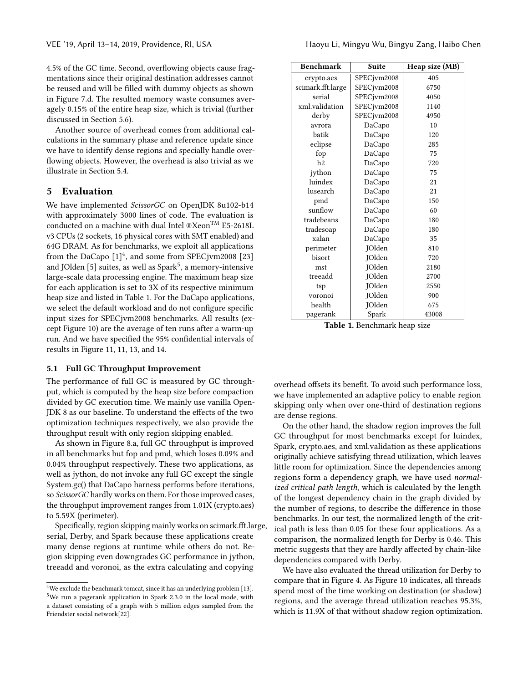4.5% of the GC time. Second, overflowing objects cause fragmentations since their original destination addresses cannot be reused and will be filled with dummy objects as shown in Figure [7.](#page-6-1)d. The resulted memory waste consumes averagely 0.15% of the entire heap size, which is trivial (further discussed in Section [5.6\)](#page-10-0).

Another source of overhead comes from additional calculations in the summary phase and reference update since we have to identify dense regions and specially handle overflowing objects. However, the overhead is also trivial as we illustrate in Section [5.4.](#page-9-1)

## <span id="page-7-0"></span>5 Evaluation

We have implemented ScissorGC on OpenJDK 8u102-b14 with approximately 3000 lines of code. The evaluation is conducted on a machine with dual Intel  $\mathcal{X}\mathsf{eon}^{\mathsf{TM}}$  E5-2618L v3 CPUs (2 sockets, 16 physical cores with SMT enabled) and 64G DRAM. As for benchmarks, we exploit all applications from the DaCapo  $[1]^4$  $[1]^4$  $[1]^4$ , and some from SPECivm2008 [\[23\]](#page-13-5) and IOlden [\[5\]](#page-12-5) suites, as well as  $Snark<sup>5</sup>$  $Snark<sup>5</sup>$  $Snark<sup>5</sup>$ , a memory-intensive large-scale data processing engine. The maximum heap size for each application is set to 3X of its respective minimum heap size and listed in Table [1.](#page-7-3) For the DaCapo applications, we select the default workload and do not configure specific input sizes for SPECjvm2008 benchmarks. All results (except Figure [10\)](#page-9-2) are the average of ten runs after a warm-up run. And we have specified the 95% confidential intervals of results in Figure [11, 11,](#page-10-1) [13,](#page-11-0) and [14.](#page-11-1)

## <span id="page-7-4"></span>5.1 Full GC Throughput Improvement

The performance of full GC is measured by GC throughput, which is computed by the heap size before compaction divided by GC execution time. We mainly use vanilla Open-JDK 8 as our baseline. To understand the effects of the two optimization techniques respectively, we also provide the throughput result with only region skipping enabled.

As shown in Figure [8.](#page-8-0)a, full GC throughput is improved in all benchmarks but fop and pmd, which loses 0.09% and 0.04% throughput respectively. These two applications, as well as jython, do not invoke any full GC except the single System.gc() that DaCapo harness performs before iterations, so ScissorGC hardly works on them. For those improved cases, the throughput improvement ranges from 1.01X (crypto.aes) to 5.59X (perimeter).

Specifically, region skipping mainly works on scimark.fft.large, serial, Derby, and Spark because these applications create many dense regions at runtime while others do not. Region skipping even downgrades GC performance in jython, treeadd and voronoi, as the extra calculating and copying

<span id="page-7-3"></span>

| <b>Benchmark</b>  | <b>Suite</b>  | Heap size (MB) |
|-------------------|---------------|----------------|
| crypto.aes        | SPECivm2008   | 405            |
| scimark.fft.large | SPECjvm2008   | 6750           |
| serial            | SPECjvm2008   | 4050           |
| xml.validation    | SPECjvm2008   | 1140           |
| derby             | SPECjvm2008   | 4950           |
| avrora            | DaCapo        | 10             |
| batik             | DaCapo        | 120            |
| eclipse           | DaCapo        | 285            |
| fop               | DaCapo        | 75             |
| h2                | DaCapo        | 720            |
| jython            | DaCapo        | 75             |
| luindex           | DaCapo        | 21             |
| lusearch          | DaCapo        | 21             |
| pmd               | DaCapo        | 150            |
| sunflow           | DaCapo        | 60             |
| tradebeans        | DaCapo        | 180            |
| tradesoap         | DaCapo        | 180            |
| xalan             | DaCapo        | 35             |
| perimeter         | JOlden        | 810            |
| bisort            | JOlden        | 720            |
| mst               | <b>JOlden</b> | 2180           |
| treeadd           | JOlden        | 2700           |
| tsp               | JOlden        | 2550           |
| voronoi           | JOlden        | 900            |
| health            | JOlden        | 675            |
| pagerank          | Spark         | 43008          |

Table 1. Benchmark heap size

overhead offsets its benefit. To avoid such performance loss, we have implemented an adaptive policy to enable region skipping only when over one-third of destination regions are dense regions.

On the other hand, the shadow region improves the full GC throughput for most benchmarks except for luindex, Spark, crypto.aes, and xml.validation as these applications originally achieve satisfying thread utilization, which leaves little room for optimization. Since the dependencies among regions form a dependency graph, we have used normalized critical path length, which is calculated by the length of the longest dependency chain in the graph divided by the number of regions, to describe the difference in those benchmarks. In our test, the normalized length of the critical path is less than 0.05 for these four applications. As a comparison, the normalized length for Derby is 0.46. This metric suggests that they are hardly affected by chain-like dependencies compared with Derby.

We have also evaluated the thread utilization for Derby to compare that in Figure [4.](#page-3-1) As Figure [10](#page-9-2) indicates, all threads spend most of the time working on destination (or shadow) regions, and the average thread utilization reaches 95.3%, which is 11.9X of that without shadow region optimization.

<span id="page-7-2"></span><span id="page-7-1"></span><sup>4</sup>We exclude the benchmark tomcat, since it has an underlying problem [\[13\]](#page-13-7). <sup>5</sup>We run a pagerank application in Spark 2.3.0 in the local mode, with a dataset consisting of a graph with 5 million edges sampled from the Friendster social network[\[22\]](#page-13-8).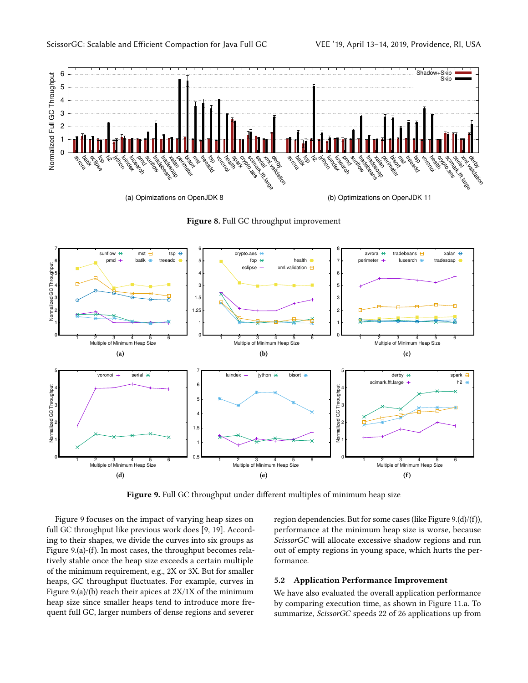<span id="page-8-0"></span>

Figure 8. Full GC throughput improvement

<span id="page-8-1"></span>

Figure 9. Full GC throughput under different multiples of minimum heap size

Figure [9](#page-8-1) focuses on the impact of varying heap sizes on full GC throughput like previous work does [\[9,](#page-12-6) [19\]](#page-13-9). According to their shapes, we divide the curves into six groups as Figure [9.](#page-8-1)(a)-(f). In most cases, the throughput becomes relatively stable once the heap size exceeds a certain multiple of the minimum requirement, e.g., 2X or 3X. But for smaller heaps, GC throughput fluctuates. For example, curves in Figure [9.](#page-8-1)(a)/(b) reach their apices at 2X/1X of the minimum heap size since smaller heaps tend to introduce more frequent full GC, larger numbers of dense regions and severer

region dependencies. But for some cases (like Figure [9.](#page-8-1)(d)/(f)), performance at the minimum heap size is worse, because ScissorGC will allocate excessive shadow regions and run out of empty regions in young space, which hurts the performance.

## 5.2 Application Performance Improvement

We have also evaluated the overall application performance by comparing execution time, as shown in Figure [11.](#page-10-1)a. To summarize, ScissorGC speeds 22 of 26 applications up from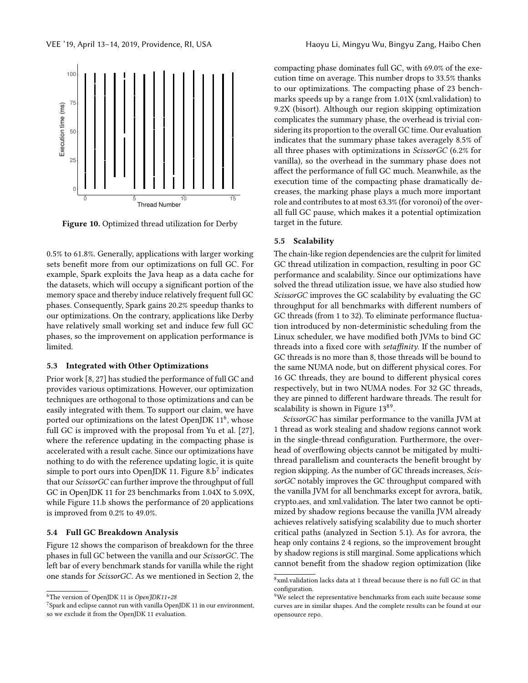<span id="page-9-2"></span>

Figure 10. Optimized thread utilization for Derby

0.5% to 61.8%. Generally, applications with larger working sets benefit more from our optimizations on full GC. For example, Spark exploits the Java heap as a data cache for the datasets, which will occupy a significant portion of the memory space and thereby induce relatively frequent full GC phases. Consequently, Spark gains 20.2% speedup thanks to our optimizations. On the contrary, applications like Derby have relatively small working set and induce few full GC phases, so the improvement on application performance is limited.

## 5.3 Integrated with Other Optimizations

Prior work [\[8,](#page-12-7) [27\]](#page-13-3) has studied the performance of full GC and provides various optimizations. However, our optimization techniques are orthogonal to those optimizations and can be easily integrated with them. To support our claim, we have ported our optimizations on the latest OpenIDK  $11<sup>6</sup>$  $11<sup>6</sup>$  $11<sup>6</sup>$ , whose full GC is improved with the proposal from Yu et al. [\[27\]](#page-13-3), where the reference updating in the compacting phase is accelerated with a result cache. Since our optimizations have nothing to do with the reference updating logic, it is quite simple to port ours into OpenIDK 11. Figure  $8.b^7$  $8.b^7$  indicates that our ScissorGC can further improve the throughput of full GC in OpenJDK 11 for 23 benchmarks from 1.04X to 5.09X, while Figure [11.](#page-10-1)b shows the performance of 20 applications is improved from 0.2% to 49.0%.

#### <span id="page-9-1"></span>5.4 Full GC Breakdown Analysis

Figure [12](#page-10-2) shows the comparison of breakdown for the three phases in full GC between the vanilla and our ScissorGC. The left bar of every benchmark stands for vanilla while the right one stands for ScissorGC. As we mentioned in Section [2,](#page-1-3) the

compacting phase dominates full GC, with 69.0% of the execution time on average. This number drops to 33.5% thanks to our optimizations. The compacting phase of 23 benchmarks speeds up by a range from 1.01X (xml.validation) to 9.2X (bisort). Although our region skipping optimization complicates the summary phase, the overhead is trivial considering its proportion to the overall GC time. Our evaluation indicates that the summary phase takes averagely 8.5% of all three phases with optimizations in ScissorGC (6.2% for vanilla), so the overhead in the summary phase does not affect the performance of full GC much. Meanwhile, as the execution time of the compacting phase dramatically decreases, the marking phase plays a much more important role and contributes to at most 63.3% (for voronoi) of the overall full GC pause, which makes it a potential optimization target in the future.

#### <span id="page-9-0"></span>5.5 Scalability

The chain-like region dependencies are the culprit for limited GC thread utilization in compaction, resulting in poor GC performance and scalability. Since our optimizations have solved the thread utilization issue, we have also studied how ScissorGC improves the GC scalability by evaluating the GC throughput for all benchmarks with different numbers of GC threads (from 1 to 32). To eliminate performance fluctuation introduced by non-deterministic scheduling from the Linux scheduler, we have modified both JVMs to bind GC threads into a fixed core with setaffinity. If the number of GC threads is no more than 8, those threads will be bound to the same NUMA node, but on different physical cores. For 16 GC threads, they are bound to different physical cores respectively, but in two NUMA nodes. For 32 GC threads, they are pinned to different hardware threads. The result for scalability is shown in Figure [13](#page-11-0)[8](#page-9-5)[9](#page-9-6).

ScissorGC has similar performance to the vanilla JVM at 1 thread as work stealing and shadow regions cannot work in the single-thread configuration. Furthermore, the overhead of overflowing objects cannot be mitigated by multithread parallelism and counteracts the benefit brought by region skipping. As the number of GC threads increases, ScissorGC notably improves the GC throughput compared with the vanilla JVM for all benchmarks except for avrora, batik, crypto.aes, and xml.validation. The later two cannot be optimized by shadow regions because the vanilla JVM already achieves relatively satisfying scalability due to much shorter critical paths (analyzed in Section [5.1\)](#page-7-4). As for avrora, the heap only contains 2 4 regions, so the improvement brought by shadow regions is still marginal. Some applications which cannot benefit from the shadow region optimization (like

<span id="page-9-3"></span><sup>&</sup>lt;sup>6</sup>The version of OpenJDK 11 is OpenJDK11+28

<span id="page-9-4"></span><sup>7</sup>Spark and eclipse cannot run with vanilla OpenJDK 11 in our environment, so we exclude it from the OpenJDK 11 evaluation.

<span id="page-9-5"></span> ${}^{8}\rm{x}$ ml.validation lacks data at 1 thread because there is no full GC in that configuration.

<span id="page-9-6"></span> $9$ We select the representative benchmarks from each suite because some curves are in similar shapes. And the complete results can be found at our opensource repo.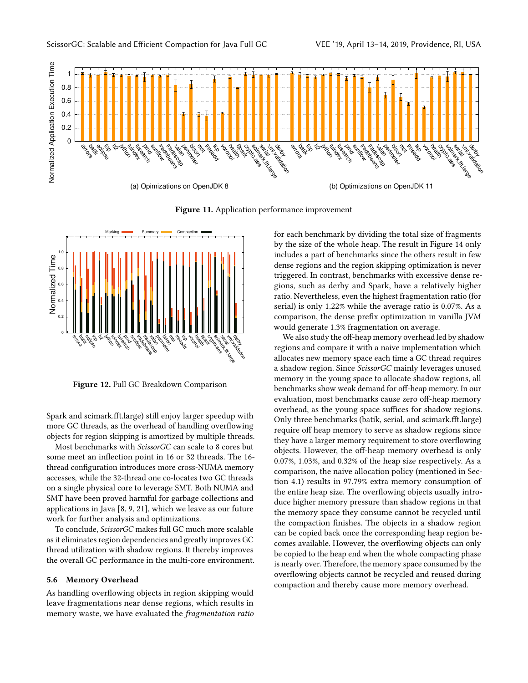<span id="page-10-1"></span>

Figure 11. Application performance improvement

<span id="page-10-2"></span>

Figure 12. Full GC Breakdown Comparison

Spark and scimark.fft.large) still enjoy larger speedup with more GC threads, as the overhead of handling overflowing objects for region skipping is amortized by multiple threads.

Most benchmarks with ScissorGC can scale to 8 cores but some meet an inflection point in 16 or 32 threads. The 16 thread configuration introduces more cross-NUMA memory accesses, while the 32-thread one co-locates two GC threads on a single physical core to leverage SMT. Both NUMA and SMT have been proved harmful for garbage collections and applications in Java [\[8,](#page-12-7) [9,](#page-12-6) [21\]](#page-13-10), which we leave as our future work for further analysis and optimizations.

To conclude, ScissorGC makes full GC much more scalable as it eliminates region dependencies and greatly improves GC thread utilization with shadow regions. It thereby improves the overall GC performance in the multi-core environment.

#### <span id="page-10-0"></span>5.6 Memory Overhead

As handling overflowing objects in region skipping would leave fragmentations near dense regions, which results in memory waste, we have evaluated the fragmentation ratio for each benchmark by dividing the total size of fragments by the size of the whole heap. The result in Figure [14](#page-11-1) only includes a part of benchmarks since the others result in few dense regions and the region skipping optimization is never triggered. In contrast, benchmarks with excessive dense regions, such as derby and Spark, have a relatively higher ratio. Nevertheless, even the highest fragmentation ratio (for serial) is only 1.22% while the average ratio is 0.07%. As a comparison, the dense prefix optimization in vanilla JVM would generate 1.3% fragmentation on average.

We also study the off-heap memory overhead led by shadow regions and compare it with a naive implementation which allocates new memory space each time a GC thread requires a shadow region. Since ScissorGC mainly leverages unused memory in the young space to allocate shadow regions, all benchmarks show weak demand for off-heap memory. In our evaluation, most benchmarks cause zero off-heap memory overhead, as the young space suffices for shadow regions. Only three benchmarks (batik, serial, and scimark.fft.large) require off heap memory to serve as shadow regions since they have a larger memory requirement to store overflowing objects. However, the off-heap memory overhead is only 0.07%, 1.03%, and 0.32% of the heap size respectively. As a comparison, the naive allocation policy (mentioned in Section [4.1\)](#page-4-3) results in 97.79% extra memory consumption of the entire heap size. The overflowing objects usually introduce higher memory pressure than shadow regions in that the memory space they consume cannot be recycled until the compaction finishes. The objects in a shadow region can be copied back once the corresponding heap region becomes available. However, the overflowing objects can only be copied to the heap end when the whole compacting phase is nearly over. Therefore, the memory space consumed by the overflowing objects cannot be recycled and reused during compaction and thereby cause more memory overhead.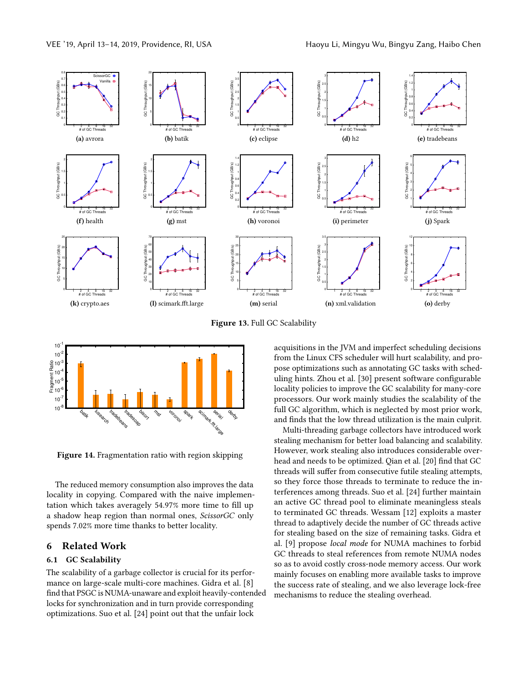<span id="page-11-0"></span>

Figure 13. Full GC Scalability

<span id="page-11-1"></span>

Figure 14. Fragmentation ratio with region skipping

The reduced memory consumption also improves the data locality in copying. Compared with the naive implementation which takes averagely 54.97% more time to fill up a shadow heap region than normal ones, ScissorGC only spends 7.02% more time thanks to better locality.

## 6 Related Work

## 6.1 GC Scalability

The scalability of a garbage collector is crucial for its performance on large-scale multi-core machines. Gidra et al. [\[8\]](#page-12-7) find that PSGC is NUMA-unaware and exploit heavily-contended locks for synchronization and in turn provide corresponding optimizations. Suo et al. [\[24\]](#page-13-11) point out that the unfair lock

acquisitions in the JVM and imperfect scheduling decisions from the Linux CFS scheduler will hurt scalability, and propose optimizations such as annotating GC tasks with scheduling hints. Zhou et al. [\[30\]](#page-13-12) present software configurable locality policies to improve the GC scalability for many-core processors. Our work mainly studies the scalability of the full GC algorithm, which is neglected by most prior work, and finds that the low thread utilization is the main culprit.

Multi-threading garbage collectors have introduced work stealing mechanism for better load balancing and scalability. However, work stealing also introduces considerable overhead and needs to be optimized. Qian et al. [\[20\]](#page-13-13) find that GC threads will suffer from consecutive futile stealing attempts, so they force those threads to terminate to reduce the interferences among threads. Suo et al. [\[24\]](#page-13-11) further maintain an active GC thread pool to eliminate meaningless steals to terminated GC threads. Wessam [\[12\]](#page-12-8) exploits a master thread to adaptively decide the number of GC threads active for stealing based on the size of remaining tasks. Gidra et al. [\[9\]](#page-12-6) propose local mode for NUMA machines to forbid GC threads to steal references from remote NUMA nodes so as to avoid costly cross-node memory access. Our work mainly focuses on enabling more available tasks to improve the success rate of stealing, and we also leverage lock-free mechanisms to reduce the stealing overhead.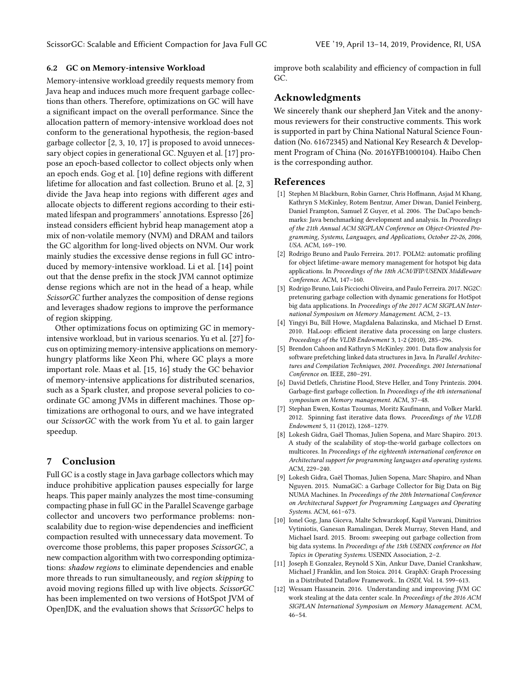#### 6.2 GC on Memory-intensive Workload

Memory-intensive workload greedily requests memory from Java heap and induces much more frequent garbage collections than others. Therefore, optimizations on GC will have a significant impact on the overall performance. Since the allocation pattern of memory-intensive workload does not conform to the generational hypothesis, the region-based garbage collector [\[2,](#page-12-9) [3,](#page-12-10) [10,](#page-12-11) [17\]](#page-13-14) is proposed to avoid unnecessary object copies in generational GC. Nguyen et al. [\[17\]](#page-13-14) propose an epoch-based collector to collect objects only when an epoch ends. Gog et al. [\[10\]](#page-12-11) define regions with different lifetime for allocation and fast collection. Bruno et al. [\[2,](#page-12-9) [3\]](#page-12-10) divide the Java heap into regions with different ages and allocate objects to different regions according to their estimated lifespan and programmers' annotations. Espresso [\[26\]](#page-13-15) instead considers efficient hybrid heap management atop a mix of non-volatile memory (NVM) and DRAM and tailors the GC algorithm for long-lived objects on NVM. Our work mainly studies the excessive dense regions in full GC introduced by memory-intensive workload. Li et al. [\[14\]](#page-13-16) point out that the dense prefix in the stock JVM cannot optimize dense regions which are not in the head of a heap, while ScissorGC further analyzes the composition of dense regions and leverages shadow regions to improve the performance of region skipping.

Other optimizations focus on optimizing GC in memoryintensive workload, but in various scenarios. Yu et al. [\[27\]](#page-13-3) focus on optimizing memory-intensive applications on memoryhungry platforms like Xeon Phi, where GC plays a more important role. Maas et al. [\[15,](#page-13-17) [16\]](#page-13-18) study the GC behavior of memory-intensive applications for distributed scenarios, such as a Spark cluster, and propose several policies to coordinate GC among JVMs in different machines. Those optimizations are orthogonal to ours, and we have integrated our ScissorGC with the work from Yu et al. to gain larger speedup.

## 7 Conclusion

Full GC is a costly stage in Java garbage collectors which may induce prohibitive application pauses especially for large heaps. This paper mainly analyzes the most time-consuming compacting phase in full GC in the Parallel Scavenge garbage collector and uncovers two performance problems: nonscalability due to region-wise dependencies and inefficient compaction resulted with unnecessary data movement. To overcome those problems, this paper proposes ScissorGC, a new compaction algorithm with two corresponding optimizations: shadow regions to eliminate dependencies and enable more threads to run simultaneously, and region skipping to avoid moving regions filled up with live objects. ScissorGC has been implemented on two versions of HotSpot JVM of OpenJDK, and the evaluation shows that ScissorGC helps to

improve both scalability and efficiency of compaction in full GC.

# Acknowledgments

We sincerely thank our shepherd Jan Vitek and the anonymous reviewers for their constructive comments. This work is supported in part by China National Natural Science Foundation (No. 61672345) and National Key Research & Development Program of China (No. 2016YFB1000104). Haibo Chen is the corresponding author.

#### References

- <span id="page-12-4"></span>[1] Stephen M Blackburn, Robin Garner, Chris Hoffmann, Asjad M Khang, Kathryn S McKinley, Rotem Bentzur, Amer Diwan, Daniel Feinberg, Daniel Frampton, Samuel Z Guyer, et al. 2006. The DaCapo benchmarks: Java benchmarking development and analysis. In Proceedings of the 21th Annual ACM SIGPLAN Conference on Object-Oriented Programming, Systems, Languages, and Applications, October 22-26, 2006, USA. ACM, 169–190.
- <span id="page-12-9"></span>[2] Rodrigo Bruno and Paulo Ferreira. 2017. POLM2: automatic profiling for object lifetime-aware memory management for hotspot big data applications. In Proceedings of the 18th ACM/IFIP/USENIX Middleware Conference. ACM, 147–160.
- <span id="page-12-10"></span>[3] Rodrigo Bruno, Luís Picciochi Oliveira, and Paulo Ferreira. 2017. NG2C: pretenuring garbage collection with dynamic generations for HotSpot big data applications. In Proceedings of the 2017 ACM SIGPLAN International Symposium on Memory Management. ACM, 2–13.
- <span id="page-12-1"></span>[4] Yingyi Bu, Bill Howe, Magdalena Balazinska, and Michael D Ernst. 2010. HaLoop: efficient iterative data processing on large clusters. Proceedings of the VLDB Endowment 3, 1-2 (2010), 285–296.
- <span id="page-12-5"></span>[5] Brendon Cahoon and Kathryn S McKinley. 2001. Data flow analysis for software prefetching linked data structures in Java. In Parallel Architectures and Compilation Techniques, 2001. Proceedings. 2001 International Conference on. IEEE, 280–291.
- <span id="page-12-0"></span>[6] David Detlefs, Christine Flood, Steve Heller, and Tony Printezis. 2004. Garbage-first garbage collection. In Proceedings of the 4th international symposium on Memory management. ACM, 37–48.
- <span id="page-12-2"></span>[7] Stephan Ewen, Kostas Tzoumas, Moritz Kaufmann, and Volker Markl. 2012. Spinning fast iterative data flows. Proceedings of the VLDB Endowment 5, 11 (2012), 1268–1279.
- <span id="page-12-7"></span>[8] Lokesh Gidra, Gaël Thomas, Julien Sopena, and Marc Shapiro. 2013. A study of the scalability of stop-the-world garbage collectors on multicores. In Proceedings of the eighteenth international conference on Architectural support for programming languages and operating systems. ACM, 229–240.
- <span id="page-12-6"></span>[9] Lokesh Gidra, Gaël Thomas, Julien Sopena, Marc Shapiro, and Nhan Nguyen. 2015. NumaGiC: a Garbage Collector for Big Data on Big NUMA Machines. In Proceedings of the 20th International Conference on Architectural Support for Programming Languages and Operating Systems. ACM, 661–673.
- <span id="page-12-11"></span>[10] Ionel Gog, Jana Giceva, Malte Schwarzkopf, Kapil Vaswani, Dimitrios Vytiniotis, Ganesan Ramalingan, Derek Murray, Steven Hand, and Michael Isard. 2015. Broom: sweeping out garbage collection from big data systems. In Proceedings of the 15th USENIX conference on Hot Topics in Operating Systems. USENIX Association, 2–2.
- <span id="page-12-3"></span>[11] Joseph E Gonzalez, Reynold S Xin, Ankur Dave, Daniel Crankshaw, Michael J Franklin, and Ion Stoica. 2014. GraphX: Graph Processing in a Distributed Dataflow Framework.. In OSDI, Vol. 14. 599–613.
- <span id="page-12-8"></span>[12] Wessam Hassanein. 2016. Understanding and improving JVM GC work stealing at the data center scale. In Proceedings of the 2016 ACM SIGPLAN International Symposium on Memory Management. ACM, 46–54.